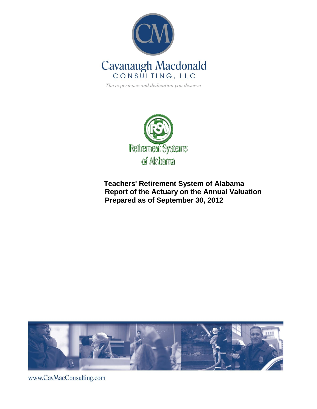

**Retirement Systems** of Alabama

**Teachers' Retirement System of Alabama Report of the Actuary on the Annual Valuation Prepared as of September 30, 2012**



www.CavMacConsulting.com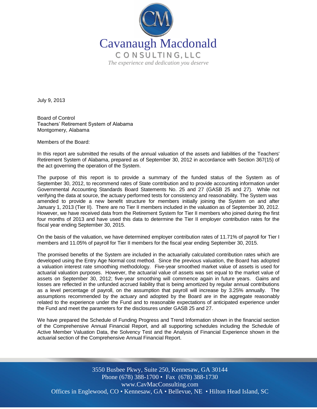

July 9, 2013

Board of Control Teachers' Retirement System of Alabama Montgomery, Alabama

Members of the Board:

In this report are submitted the results of the annual valuation of the assets and liabilities of the Teachers' Retirement System of Alabama, prepared as of September 30, 2012 in accordance with Section 367(15) of the act governing the operation of the System.

The purpose of this report is to provide a summary of the funded status of the System as of September 30, 2012, to recommend rates of State contribution and to provide accounting information under Governmental Accounting Standards Board Statements No. 25 and 27 (GASB 25 and 27). While not verifying the data at source, the actuary performed tests for consistency and reasonability. The System was amended to provide a new benefit structure for members initially joining the System on and after January 1, 2013 (Tier II). There are no Tier II members included in the valuation as of September 30, 2012. However, we have received data from the Retirement System for Tier II members who joined during the first four months of 2013 and have used this data to determine the Tier II employer contribution rates for the fiscal year ending September 30, 2015.

On the basis of the valuation, we have determined employer contribution rates of 11.71% of payroll for Tier I members and 11.05% of payroll for Tier II members for the fiscal year ending September 30, 2015.

The promised benefits of the System are included in the actuarially calculated contribution rates which are developed using the Entry Age Normal cost method. Since the previous valuation, the Board has adopted a valuation interest rate smoothing methodology. Five-year smoothed market value of assets is used for actuarial valuation purposes. However, the actuarial value of assets was set equal to the market value of assets on September 30, 2012; five-year smoothing will commence again in future years. Gains and losses are reflected in the unfunded accrued liability that is being amortized by regular annual contributions as a level percentage of payroll, on the assumption that payroll will increase by 3.25% annually. The assumptions recommended by the actuary and adopted by the Board are in the aggregate reasonably related to the experience under the Fund and to reasonable expectations of anticipated experience under the Fund and meet the parameters for the disclosures under GASB 25 and 27.

We have prepared the Schedule of Funding Progress and Trend Information shown in the financial section of the Comprehensive Annual Financial Report, and all supporting schedules including the Schedule of Active Member Valuation Data, the Solvency Test and the Analysis of Financial Experience shown in the actuarial section of the Comprehensive Annual Financial Report.

Offices in Englewood, CO • Kennesaw, GA • Bellevue, NE • Hilton Head Island, SC 3550 Busbee Pkwy, Suite 250, Kennesaw, GA 30144 Phone (678) 388-1700 • Fax (678) 388-1730 www.CavMacConsulting.com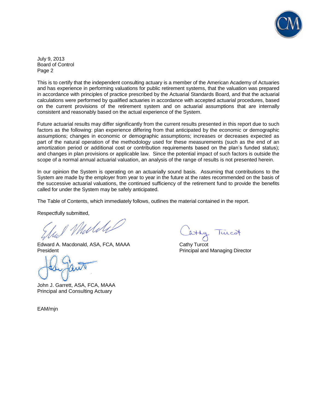

July 9, 2013 Board of Control Page 2

This is to certify that the independent consulting actuary is a member of the American Academy of Actuaries and has experience in performing valuations for public retirement systems, that the valuation was prepared in accordance with principles of practice prescribed by the Actuarial Standards Board, and that the actuarial calculations were performed by qualified actuaries in accordance with accepted actuarial procedures, based on the current provisions of the retirement system and on actuarial assumptions that are internally consistent and reasonably based on the actual experience of the System.

Future actuarial results may differ significantly from the current results presented in this report due to such factors as the following: plan experience differing from that anticipated by the economic or demographic assumptions; changes in economic or demographic assumptions; increases or decreases expected as part of the natural operation of the methodology used for these measurements (such as the end of an amortization period or additional cost or contribution requirements based on the plan's funded status); and changes in plan provisions or applicable law. Since the potential impact of such factors is outside the scope of a normal annual actuarial valuation, an analysis of the range of results is not presented herein.

In our opinion the System is operating on an actuarially sound basis. Assuming that contributions to the System are made by the employer from year to year in the future at the rates recommended on the basis of the successive actuarial valuations, the continued sufficiency of the retirement fund to provide the benefits called for under the System may be safely anticipated.

The Table of Contents, which immediately follows, outlines the material contained in the report.

Respectfully submitted,

I Muliki

Edward A. Macdonald, ASA, FCA, MAAA Cathy Turcot President Principal and Managing Director

John J. Garrett, ASA, FCA, MAAA Principal and Consulting Actuary

EAM/mjn

luco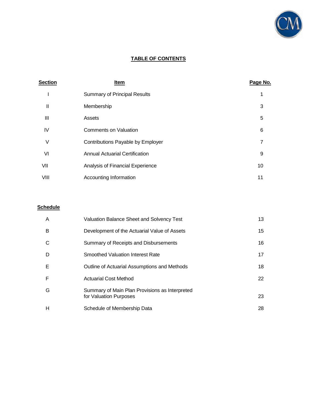

# **TABLE OF CONTENTS**

| <b>Section</b> | Item                                  | Page No.       |
|----------------|---------------------------------------|----------------|
|                | <b>Summary of Principal Results</b>   | 1              |
| Ш              | Membership                            | 3              |
| Ш              | Assets                                | 5              |
| IV             | Comments on Valuation                 | 6              |
| V              | Contributions Payable by Employer     | $\overline{7}$ |
| VI             | <b>Annual Actuarial Certification</b> | 9              |
| VII            | Analysis of Financial Experience      | 10             |
| VIII           | Accounting Information                | 11             |

# **Schedule**

| A | Valuation Balance Sheet and Solvency Test                                | 13 |
|---|--------------------------------------------------------------------------|----|
| B | Development of the Actuarial Value of Assets                             | 15 |
| C | Summary of Receipts and Disbursements                                    | 16 |
| D | Smoothed Valuation Interest Rate                                         | 17 |
| Е | Outline of Actuarial Assumptions and Methods                             | 18 |
| F | <b>Actuarial Cost Method</b>                                             | 22 |
| G | Summary of Main Plan Provisions as Interpreted<br>for Valuation Purposes | 23 |
| н | Schedule of Membership Data                                              | 28 |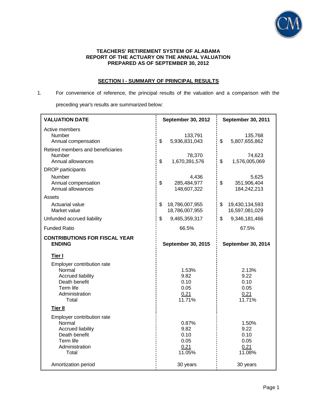

#### **TEACHERS' RETIREMENT SYSTEM OF ALABAMA REPORT OF THE ACTUARY ON THE ANNUAL VALUATION PREPARED AS OF SEPTEMBER 30, 2012**

# **SECTION I - SUMMARY OF PRINCIPAL RESULTS**

# 1. For convenience of reference, the principal results of the valuation and a comparison with the preceding year's results are summarized below:

| <b>VALUATION DATE</b>                                                                                                               | September 30, 2012                              | September 30, 2011                              |  |
|-------------------------------------------------------------------------------------------------------------------------------------|-------------------------------------------------|-------------------------------------------------|--|
| Active members<br><b>Number</b><br>Annual compensation                                                                              | 133,791<br>\$<br>5,936,831,043                  | 135,768<br>\$<br>5,807,655,862                  |  |
| Retired members and beneficiaries<br>Number<br>Annual allowances                                                                    | 78,370<br>\$<br>1,670,391,576                   | 74,623<br>\$<br>1,576,005,069                   |  |
| <b>DROP</b> participants<br>Number<br>Annual compensation<br>Annual allowances                                                      | 4,436<br>\$<br>285,484,977<br>148,607,322       | 5,625<br>\$<br>351,906,404<br>184,242,213       |  |
| Assets<br><b>Actuarial value</b><br>Market value                                                                                    | \$<br>18,786,007,955<br>18,786,007,955          | \$<br>19,430,134,593<br>16,597,081,029          |  |
| Unfunded accrued liability                                                                                                          | \$<br>9,465,359,317                             | \$<br>9,346,181,466                             |  |
| <b>Funded Ratio</b>                                                                                                                 | 66.5%                                           | 67.5%                                           |  |
| <b>CONTRIBUTIONS FOR FISCAL YEAR</b><br><b>ENDING</b>                                                                               | September 30, 2015                              | September 30, 2014                              |  |
| Tier I<br>Employer contribution rate<br>Normal<br><b>Accrued liability</b><br>Death benefit<br>Term life<br>Administration<br>Total | 1.53%<br>9.82<br>0.10<br>0.05<br>0.21<br>11.71% | 2.13%<br>9.22<br>0.10<br>0.05<br>0.21<br>11.71% |  |
| <b>Tier II</b>                                                                                                                      |                                                 |                                                 |  |
| Employer contribution rate<br>Normal<br><b>Accrued liability</b><br>Death benefit<br>Term life<br>Administration<br>Total           | 0.87%<br>9.82<br>0.10<br>0.05<br>0.21<br>11.05% | 1.50%<br>9.22<br>0.10<br>0.05<br>0.21<br>11.08% |  |
| Amortization period                                                                                                                 | 30 years                                        | 30 years                                        |  |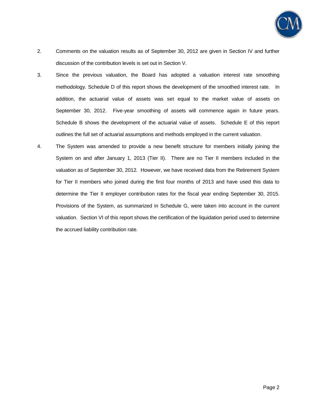

- 2. Comments on the valuation results as of September 30, 2012 are given in Section IV and further discussion of the contribution levels is set out in Section V.
- 3. Since the previous valuation, the Board has adopted a valuation interest rate smoothing methodology. Schedule D of this report shows the development of the smoothed interest rate. In addition, the actuarial value of assets was set equal to the market value of assets on September 30, 2012. Five-year smoothing of assets will commence again in future years. Schedule B shows the development of the actuarial value of assets. Schedule E of this report outlines the full set of actuarial assumptions and methods employed in the current valuation.
- 4. The System was amended to provide a new benefit structure for members initially joining the System on and after January 1, 2013 (Tier II). There are no Tier II members included in the valuation as of September 30, 2012. However, we have received data from the Retirement System for Tier II members who joined during the first four months of 2013 and have used this data to determine the Tier II employer contribution rates for the fiscal year ending September 30, 2015. Provisions of the System, as summarized in Schedule G, were taken into account in the current valuation. Section VI of this report shows the certification of the liquidation period used to determine the accrued liability contribution rate.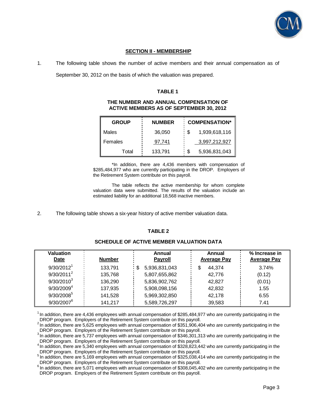

# **SECTION II - MEMBERSHIP**

1. The following table shows the number of active members and their annual compensation as of

September 30, 2012 on the basis of which the valuation was prepared.

#### **TABLE 1**

#### **THE NUMBER AND ANNUAL COMPENSATION OF ACTIVE MEMBERS AS OF SEPTEMBER 30, 2012**

| <b>GROUP</b> | <b>NUMBER</b> | <b>COMPENSATION*</b> |
|--------------|---------------|----------------------|
| Males        | 36,050        | 1,939,618,116<br>\$  |
| Females      | 97,741        | 3,997,212,927        |
| Total        | 133,791       | 5,936,831,043        |

\*In addition, there are 4,436 members with compensation of \$285,484,977 who are currently participating in the DROP. Employers of the Retirement System contribute on this payroll.

 The table reflects the active membership for whom complete valuation data were submitted. The results of the valuation include an estimated liability for an additional 18,568 inactive members.

2. The following table shows a six-year history of active member valuation data.

# **TABLE 2**

# **SCHEDULE OF ACTIVE MEMBER VALUATION DATA**

| <b>Valuation</b><br>Date | <b>Number</b> | Annual<br><b>Payroll</b> | Annual<br><b>Average Pay</b> | % Increase in<br><b>Average Pay</b> |
|--------------------------|---------------|--------------------------|------------------------------|-------------------------------------|
| 9/30/2012 <sup>1</sup>   | 133.791       | 5,936,831,043<br>- \$    | \$<br>44.374                 | 3.74%                               |
| $9/30/2011^2$            | 135,768       | 5,807,655,862            | 42.776                       | (0.12)                              |
| $9/30/2010^3$            | 136.290       | 5,836,902,762            | 42.827                       | (0.01)                              |
| 9/30/2009 <sup>4</sup>   | 137,935       | 5,908,098,156            | 42,832                       | 1.55                                |
| 9/30/2008 <sup>5</sup>   | 141,528       | 5,969,302,850            | 42.178                       | 6.55                                |
| $9/30/2007^6$            | 141,217       | 5,589,726,297            | 39.583                       | 7.41                                |

 $1$ In addition, there are 4,436 employees with annual compensation of \$285,484,977 who are currently participating in the DROP program. Employers of the Retirement System contribute on this payroll.

<sup>2</sup>In addition, there are 5,625 employees with annual compensation of \$351,906,404 who are currently participating in the DROP program. Employers of the Retirement System contribute on this payroll.

<sup>3</sup>In addition, there are 5,737 employees with annual compensation of \$346,301,313 who are currently participating in the DROP program. Employers of the Retirement System contribute on this payroll.

 $4$  In addition, there are 5,340 employees with annual compensation of \$328,823,442 who are currently participating in the DROP program. Employers of the Retirement System contribute on this payroll.

<sup>5</sup>In addition, there are 5,169 employees with annual compensation of \$325,038,414 who are currently participating in the DROP program. Employers of the Retirement System contribute on this payroll.

 $6$  In addition, there are 5,071 employees with annual compensation of \$308,045,402 who are currently participating in the DROP program. Employers of the Retirement System contribute on this payroll.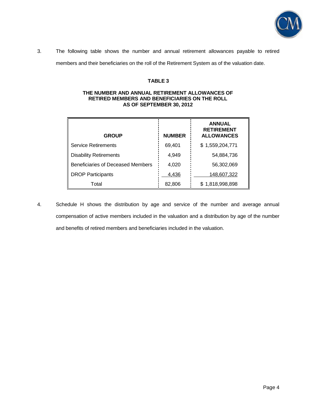

3. The following table shows the number and annual retirement allowances payable to retired members and their beneficiaries on the roll of the Retirement System as of the valuation date.

# **TABLE 3**

# **THE NUMBER AND ANNUAL RETIREMENT ALLOWANCES OF RETIRED MEMBERS AND BENEFICIARIES ON THE ROLL AS OF SEPTEMBER 30, 2012**

| <b>GROUP</b>                      | <b>NUMBER</b> | <b>ANNUAL</b><br><b>RETIREMENT</b><br><b>ALLOWANCES</b> |
|-----------------------------------|---------------|---------------------------------------------------------|
| <b>Service Retirements</b>        | 69,401        | \$1,559,204,771                                         |
| <b>Disability Retirements</b>     | 4,949         | 54,884,736                                              |
| Beneficiaries of Deceased Members | 4,020         | 56,302,069                                              |
| <b>DROP Participants</b>          | 4,436         | 148,607,322                                             |
| Total                             | 82,806        | \$1,818,998,898                                         |

4. Schedule H shows the distribution by age and service of the number and average annual compensation of active members included in the valuation and a distribution by age of the number and benefits of retired members and beneficiaries included in the valuation.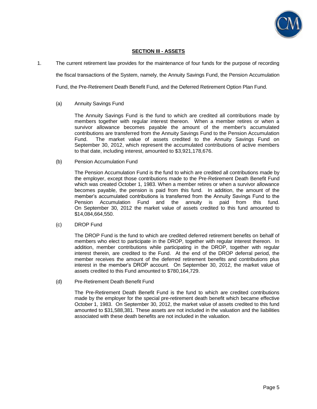

# **SECTION III - ASSETS**

1. The current retirement law provides for the maintenance of four funds for the purpose of recording the fiscal transactions of the System, namely, the Annuity Savings Fund, the Pension Accumulation

Fund, the Pre-Retirement Death Benefit Fund, and the Deferred Retirement Option Plan Fund.

# (a) Annuity Savings Fund

 The Annuity Savings Fund is the fund to which are credited all contributions made by members together with regular interest thereon. When a member retires or when a survivor allowance becomes payable the amount of the member's accumulated contributions are transferred from the Annuity Savings Fund to the Pension Accumulation Fund. The market value of assets credited to the Annuity Savings Fund on September 30, 2012, which represent the accumulated contributions of active members to that date, including interest, amounted to \$3,921,178,676.

(b) Pension Accumulation Fund

 The Pension Accumulation Fund is the fund to which are credited all contributions made by the employer, except those contributions made to the Pre-Retirement Death Benefit Fund which was created October 1, 1983. When a member retires or when a survivor allowance becomes payable, the pension is paid from this fund. In addition, the amount of the member's accumulated contributions is transferred from the Annuity Savings Fund to the Pension Accumulation Fund and the annuity is paid from this fund. On September 30, 2012 the market value of assets credited to this fund amounted to \$14,084,664,550.

(c) DROP Fund

 The DROP Fund is the fund to which are credited deferred retirement benefits on behalf of members who elect to participate in the DROP, together with regular interest thereon. In addition, member contributions while participating in the DROP, together with regular interest therein, are credited to the Fund. At the end of the DROP deferral period, the member receives the amount of the deferred retirement benefits and contributions plus interest in the member's DROP account. On September 30, 2012, the market value of assets credited to this Fund amounted to \$780,164,729.

(d) Pre-Retirement Death Benefit Fund

 The Pre-Retirement Death Benefit Fund is the fund to which are credited contributions made by the employer for the special pre-retirement death benefit which became effective October 1, 1983. On September 30, 2012, the market value of assets credited to this fund amounted to \$31,588,381. These assets are not included in the valuation and the liabilities associated with these death benefits are not included in the valuation.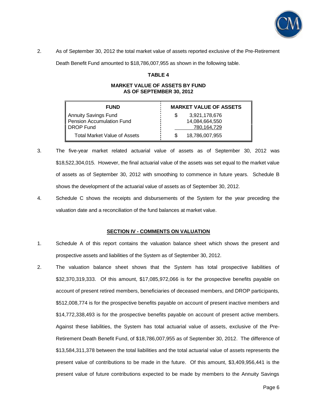

2. As of September 30, 2012 the total market value of assets reported exclusive of the Pre-Retirement

Death Benefit Fund amounted to \$18,786,007,955 as shown in the following table.

#### **TABLE 4**

#### **MARKET VALUE OF ASSETS BY FUND AS OF SEPTEMBER 30, 2012**

| <b>FUND</b>                                                           | <b>MARKET VALUE OF ASSETS</b>                  |  |  |
|-----------------------------------------------------------------------|------------------------------------------------|--|--|
| Annuity Savings Fund<br>Pension Accumulation Fund<br><b>DROP Fund</b> | 3,921,178,676<br>14,084,664,550<br>780.164.729 |  |  |
| Total Market Value of Assets                                          | 18,786,007,955                                 |  |  |

- 3. The five-year market related actuarial value of assets as of September 30, 2012 was \$18,522,304,015. However, the final actuarial value of the assets was set equal to the market value of assets as of September 30, 2012 with smoothing to commence in future years. Schedule B shows the development of the actuarial value of assets as of September 30, 2012.
- 4. Schedule C shows the receipts and disbursements of the System for the year preceding the valuation date and a reconciliation of the fund balances at market value.

#### **SECTION IV - COMMENTS ON VALUATION**

- 1. Schedule A of this report contains the valuation balance sheet which shows the present and prospective assets and liabilities of the System as of September 30, 2012.
- 2. The valuation balance sheet shows that the System has total prospective liabilities of \$32,370,319,333. Of this amount, \$17,085,972,066 is for the prospective benefits payable on account of present retired members, beneficiaries of deceased members, and DROP participants, \$512,008,774 is for the prospective benefits payable on account of present inactive members and \$14,772,338,493 is for the prospective benefits payable on account of present active members. Against these liabilities, the System has total actuarial value of assets, exclusive of the Pre-Retirement Death Benefit Fund, of \$18,786,007,955 as of September 30, 2012. The difference of \$13,584,311,378 between the total liabilities and the total actuarial value of assets represents the present value of contributions to be made in the future. Of this amount, \$3,409,956,441 is the present value of future contributions expected to be made by members to the Annuity Savings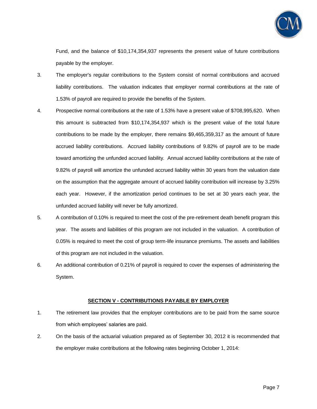

Fund, and the balance of \$10,174,354,937 represents the present value of future contributions payable by the employer.

- 3. The employer's regular contributions to the System consist of normal contributions and accrued liability contributions. The valuation indicates that employer normal contributions at the rate of 1.53% of payroll are required to provide the benefits of the System.
- 4. Prospective normal contributions at the rate of 1.53% have a present value of \$708,995,620. When this amount is subtracted from \$10,174,354,937 which is the present value of the total future contributions to be made by the employer, there remains \$9,465,359,317 as the amount of future accrued liability contributions. Accrued liability contributions of 9.82% of payroll are to be made toward amortizing the unfunded accrued liability. Annual accrued liability contributions at the rate of 9.82% of payroll will amortize the unfunded accrued liability within 30 years from the valuation date on the assumption that the aggregate amount of accrued liability contribution will increase by 3.25% each year. However, if the amortization period continues to be set at 30 years each year, the unfunded accrued liability will never be fully amortized.
- 5. A contribution of 0.10% is required to meet the cost of the pre-retirement death benefit program this year. The assets and liabilities of this program are not included in the valuation. A contribution of 0.05% is required to meet the cost of group term-life insurance premiums. The assets and liabilities of this program are not included in the valuation.
- 6. An additional contribution of 0.21% of payroll is required to cover the expenses of administering the System.

#### **SECTION V - CONTRIBUTIONS PAYABLE BY EMPLOYER**

- 1. The retirement law provides that the employer contributions are to be paid from the same source from which employees' salaries are paid.
- 2. On the basis of the actuarial valuation prepared as of September 30, 2012 it is recommended that the employer make contributions at the following rates beginning October 1, 2014: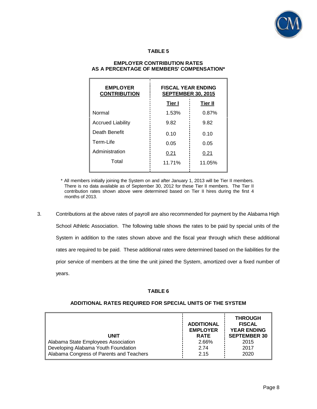

# **TABLE 5**

| <b>FISCAL YEAR ENDING</b><br><b>SEPTEMBER 30, 2015</b> |                |  |
|--------------------------------------------------------|----------------|--|
| Tier I                                                 | <b>Tier II</b> |  |
| 1.53%                                                  | 0.87%          |  |
| 9.82                                                   | 9.82           |  |
| 0.10                                                   | 0.10           |  |
| 0.05                                                   | 0.05           |  |
| 0.21                                                   | 0.21           |  |
| 11.71%                                                 | 11.05%         |  |
|                                                        |                |  |

# **EMPLOYER CONTRIBUTION RATES AS A PERCENTAGE OF MEMBERS' COMPENSATION\***

\* All members initially joining the System on and after January 1, 2013 will be Tier II members. There is no data available as of September 30, 2012 for these Tier II members. The Tier II contribution rates shown above were determined based on Tier II hires during the first 4 months of 2013.

3. Contributions at the above rates of payroll are also recommended for payment by the Alabama High School Athletic Association. The following table shows the rates to be paid by special units of the System in addition to the rates shown above and the fiscal year through which these additional rates are required to be paid. These additional rates were determined based on the liabilities for the prior service of members at the time the unit joined the System, amortized over a fixed number of years.

#### **TABLE 6**

#### **UNIT ADDITIONAL EMPLOYER RATE THROUGH FISCAL YEAR ENDING SEPTEMBER 30** Alabama State Employees Association **2.66%** 2.66% 2015 Developing Alabama Youth Foundation 2.74 2.74 2017 Alabama Congress of Parents and Teachers 2.15 2.15 2020

#### **ADDITIONAL RATES REQUIRED FOR SPECIAL UNITS OF THE SYSTEM**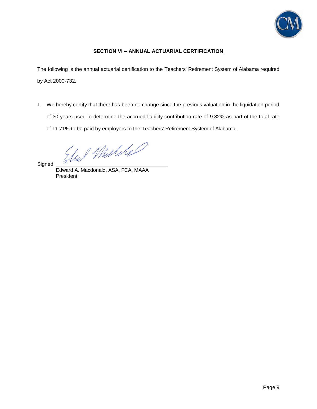

# **SECTION VI – ANNUAL ACTUARIAL CERTIFICATION**

The following is the annual actuarial certification to the Teachers' Retirement System of Alabama required by Act 2000-732.

1. We hereby certify that there has been no change since the previous valuation in the liquidation period of 30 years used to determine the accrued liability contribution rate of 9.82% as part of the total rate of 11.71% to be paid by employers to the Teachers' Retirement System of Alabama.

Und Mulikel

**Signed** 

Edward A. Macdonald, ASA, FCA, MAAA President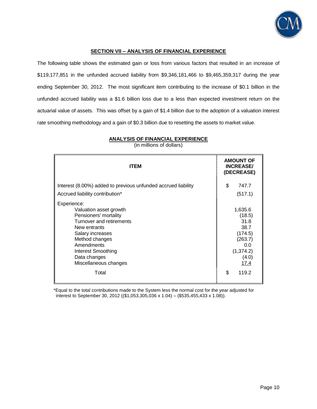

# **SECTION VII – ANALYSIS OF FINANCIAL EXPERIENCE**

The following table shows the estimated gain or loss from various factors that resulted in an increase of \$119,177,851 in the unfunded accrued liability from \$9,346,181,466 to \$9,465,359,317 during the year ending September 30, 2012. The most significant item contributing to the increase of \$0.1 billion in the unfunded accrued liability was a \$1.6 billion loss due to a less than expected investment return on the actuarial value of assets. This was offset by a gain of \$1.4 billion due to the adoption of a valuation interest rate smoothing methodology and a gain of \$0.3 billion due to resetting the assets to market value.

| <b>ITEM</b>                                                                                                                                                                                                                          | <b>AMOUNT OF</b><br><b>INCREASE/</b><br>(DECREASE)                                            |
|--------------------------------------------------------------------------------------------------------------------------------------------------------------------------------------------------------------------------------------|-----------------------------------------------------------------------------------------------|
| Interest (8.00%) added to previous unfunded accrued liability                                                                                                                                                                        | \$<br>747.7                                                                                   |
| Accrued liability contribution*                                                                                                                                                                                                      | (517.1)                                                                                       |
| Experience:<br>Valuation asset growth<br>Pensioners' mortality<br>Turnover and retirements<br>New entrants<br>Salary increases<br>Method changes<br>Amendments<br><b>Interest Smoothing</b><br>Data changes<br>Miscellaneous changes | 1,635.6<br>(18.5)<br>31.8<br>38.7<br>(174.5)<br>(263.7)<br>0.0<br>(1, 374.2)<br>(4.0)<br>17.4 |
| Total                                                                                                                                                                                                                                | \$<br>119.2                                                                                   |

**ANALYSIS OF FINANCIAL EXPERIENCE**

(in millions of dollars)

\*Equal to the total contributions made to the System less the normal cost for the year adjusted for interest to September 30, 2012 ((\$1,053,305,036 x 1.04) – (\$535,455,433 x 1.08)).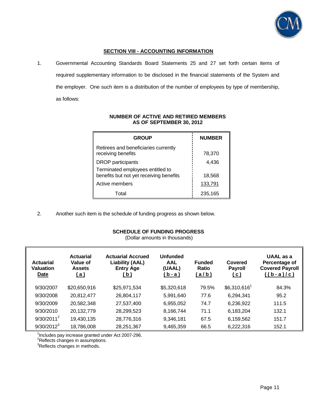

# **SECTION VIII - ACCOUNTING INFORMATION**

1. Governmental Accounting Standards Board Statements 25 and 27 set forth certain items of required supplementary information to be disclosed in the financial statements of the System and the employer. One such item is a distribution of the number of employees by type of membership, as follows:

| <b>GROUP</b>                                                                | <b>NUMBER</b> |
|-----------------------------------------------------------------------------|---------------|
| Retirees and beneficiaries currently<br>receiving benefits                  | 78,370        |
| <b>DROP</b> participants                                                    | 4,436         |
| Terminated employees entitled to<br>benefits but not yet receiving benefits | 18,568        |
| Active members                                                              | 133,791       |
| Total                                                                       | 235,165       |

# **NUMBER OF ACTIVE AND RETIRED MEMBERS AS OF SEPTEMBER 30, 2012**

2. Another such item is the schedule of funding progress as shown below.

# **SCHEDULE OF FUNDING PROGRESS**

(Dollar amounts in thousands)

| <b>Actuarial</b><br><b>Valuation</b><br>Date | <b>Actuarial</b><br>Value of<br><b>Assets</b><br><u>( a )</u> | <b>Actuarial Accrued</b><br><b>Liability (AAL)</b><br><b>Entry Age</b><br>( b ) | Unfunded<br><b>AAL</b><br>(UAAL)<br>(b-a) | <b>Funded</b><br>Ratio<br><u>(a/b)</u> | Covered<br><b>Payroll</b><br><u>(c)</u> | UAAL as a<br>Percentage of<br><b>Covered Payroll</b><br>$((b-a)/c)$ |
|----------------------------------------------|---------------------------------------------------------------|---------------------------------------------------------------------------------|-------------------------------------------|----------------------------------------|-----------------------------------------|---------------------------------------------------------------------|
| 9/30/2007                                    | \$20,650,916                                                  | \$25,971,534                                                                    | \$5,320,618                               | 79.5%                                  | $$6,310,616$ <sup>1</sup>               | 84.3%                                                               |
| 9/30/2008                                    | 20,812,477                                                    | 26,804,117                                                                      | 5,991,640                                 | 77.6                                   | 6,294,341                               | 95.2                                                                |
| 9/30/2009                                    | 20,582,348                                                    | 27,537,400                                                                      | 6,955,052                                 | 74.7                                   | 6,236,922                               | 111.5                                                               |
| 9/30/2010                                    | 20,132,779                                                    | 28,299,523                                                                      | 8,166,744                                 | 71.1                                   | 6,183,204                               | 132.1                                                               |
| $9/30/2011^2$                                | 19,430,135                                                    | 28,776,316                                                                      | 9,346,181                                 | 67.5                                   | 6,159,562                               | 151.7                                                               |
| $9/30/2012^3$                                | 18,786,008                                                    | 28,251,367                                                                      | 9,465,359                                 | 66.5                                   | 6,222,316                               | 152.1                                                               |

<sup>1</sup>Includes pay increase granted under Act 2007-296.

<sup>2</sup>Reflects changes in assumptions.

<sup>3</sup>Reflects changes in methods.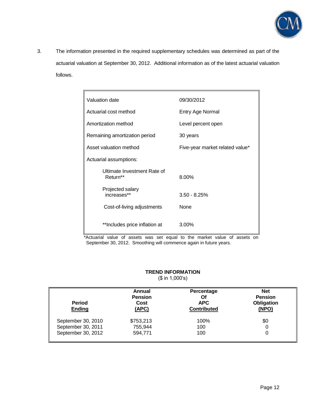

3. The information presented in the required supplementary schedules was determined as part of the actuarial valuation at September 30, 2012. Additional information as of the latest actuarial valuation follows.

| Valuation date                          | 09/30/2012                      |  |
|-----------------------------------------|---------------------------------|--|
| Actuarial cost method                   | Entry Age Normal                |  |
| Amortization method                     | Level percent open              |  |
| Remaining amortization period           | 30 years                        |  |
| Asset valuation method                  | Five-year market related value* |  |
| Actuarial assumptions:                  |                                 |  |
| Ultimate Investment Rate of<br>Return** | 8.00%                           |  |
| Projected salary<br>increases**         | $3.50 - 8.25%$                  |  |
| Cost-of-living adjustments              | None                            |  |
| **Includes price inflation at           | 3.00%                           |  |

\*Actuarial value of assets was set equal to the market value of assets on September 30, 2012. Smoothing will commence again in future years.

# **TREND INFORMATION**

(\$ in 1,000's)

| <b>Period</b><br><b>Ending</b> | Annual<br><b>Pension</b><br>Cost<br>(APC) | Percentage<br>Οf<br><b>APC</b><br><b>Contributed</b> | <b>Net</b><br><b>Pension</b><br>Obligation<br>(NPO) |
|--------------------------------|-------------------------------------------|------------------------------------------------------|-----------------------------------------------------|
| September 30, 2010             | \$753,213                                 | 100%                                                 | \$0                                                 |
| September 30, 2011             | 755,944                                   | 100                                                  | 0                                                   |
| September 30, 2012             | 594,771                                   | 100                                                  | 0                                                   |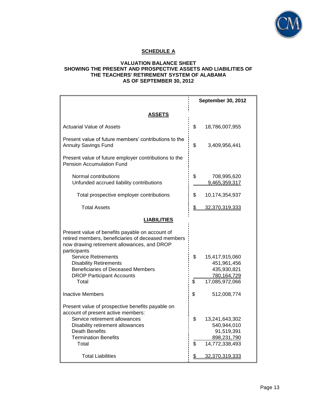

# **SCHEDULE A**

# **VALUATION BALANCE SHEET SHOWING THE PRESENT AND PROSPECTIVE ASSETS AND LIABILITIES OF THE TEACHERS' RETIREMENT SYSTEM OF ALABAMA AS OF SEPTEMBER 30, 2012**

|                                                                                                                                                                                                                                                                                 |          | September 30, 2012                                                           |
|---------------------------------------------------------------------------------------------------------------------------------------------------------------------------------------------------------------------------------------------------------------------------------|----------|------------------------------------------------------------------------------|
| ASSETS                                                                                                                                                                                                                                                                          |          |                                                                              |
| <b>Actuarial Value of Assets</b>                                                                                                                                                                                                                                                | \$       | 18,786,007,955                                                               |
| Present value of future members' contributions to the<br><b>Annuity Savings Fund</b>                                                                                                                                                                                            | \$       | 3,409,956,441                                                                |
| Present value of future employer contributions to the<br><b>Pension Accumulation Fund</b>                                                                                                                                                                                       |          |                                                                              |
| Normal contributions<br>Unfunded accrued liability contributions                                                                                                                                                                                                                | \$       | 708,995,620<br>9,465,359,317                                                 |
| Total prospective employer contributions                                                                                                                                                                                                                                        | \$       | 10,174,354,937                                                               |
| <b>Total Assets</b>                                                                                                                                                                                                                                                             | \$       | 32,370,319,333                                                               |
| <b>LIABILITIES</b>                                                                                                                                                                                                                                                              |          |                                                                              |
| Present value of benefits payable on account of<br>retired members, beneficiaries of deceased members<br>now drawing retirement allowances, and DROP<br>participants<br><b>Service Retirements</b><br><b>Disability Retirements</b><br><b>Beneficiaries of Deceased Members</b> | \$       | 15,417,915,060<br>451,961,456<br>435,930,821                                 |
| <b>DROP Participant Accounts</b><br>Total                                                                                                                                                                                                                                       | \$       | 780,164,729<br>17,085,972,066                                                |
| <b>Inactive Members</b>                                                                                                                                                                                                                                                         | \$       | 512,008,774                                                                  |
| Present value of prospective benefits payable on<br>account of present active members:<br>Service retirement allowances<br>Disability retirement allowances<br><b>Death Benefits</b><br><b>Termination Benefits</b><br>Total                                                    | \$<br>\$ | 13,241,643,302<br>540,944,010<br>91,519,391<br>898,231,790<br>14,772,338,493 |
| <b>Total Liabilities</b>                                                                                                                                                                                                                                                        | \$       | 32,370,319,333                                                               |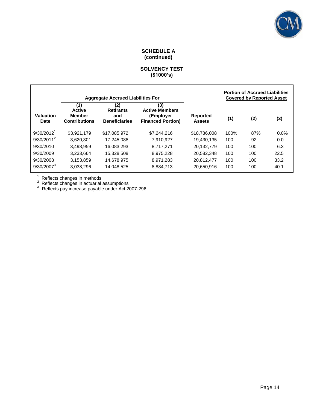

# **SCHEDULE A (continued)**

# **SOLVENCY TEST (\$1000's)**

|                          | <b>Aggregate Accrued Liabilities For</b>               |                                                        |                                                                       | <b>Portion of Accrued Liabilities</b><br><b>Covered by Reported Asset</b> |      |     |         |
|--------------------------|--------------------------------------------------------|--------------------------------------------------------|-----------------------------------------------------------------------|---------------------------------------------------------------------------|------|-----|---------|
| <b>Valuation</b><br>Date | (1)<br><b>Active</b><br>Member<br><b>Contributions</b> | (2)<br><b>Retirants</b><br>and<br><b>Beneficiaries</b> | (3)<br><b>Active Members</b><br>(Employer<br><b>Financed Portion)</b> | <b>Reported</b><br><b>Assets</b>                                          | (1)  | (2) | (3)     |
| 9/30/2012 <sup>1</sup>   | \$3.921.179                                            | \$17.085.972                                           | \$7,244,216                                                           | \$18,786,008                                                              | 100% | 87% | $0.0\%$ |
| $9/30/2011^2$            | 3.620.301                                              | 17.245.088                                             | 7.910.927                                                             | 19.430.135                                                                | 100  | 92  | 0.0     |
| 9/30/2010                | 3.498.959                                              | 16.083.293                                             | 8.717.271                                                             | 20.132.779                                                                | 100  | 100 | 6.3     |
| 9/30/2009                | 3.233.664                                              | 15.328.508                                             | 8.975.228                                                             | 20.582.348                                                                | 100  | 100 | 22.5    |
| 9/30/2008                | 3,153,859                                              | 14,678,975                                             | 8,971,283                                                             | 20.812.477                                                                | 100  | 100 | 33.2    |
| $9/30/2007^3$            | 3,038,296                                              | 14,048,525                                             | 8,884,713                                                             | 20.650.916                                                                | 100  | 100 | 40.1    |

 $^1$  Reflects changes in methods.<br>  $^2$  Reflects changes in actuarial assumptions<br>  $^3$  Reflects pay increase payable under Act 2007-296.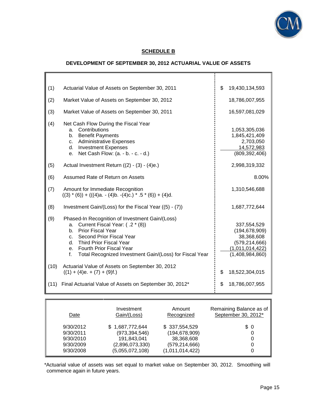

# **SCHEDULE B**

# **DEVELOPMENT OF SEPTEMBER 30, 2012 ACTUARIAL VALUE OF ASSETS**

| (1)  | Actuarial Value of Assets on September 30, 2011                                                                                                                                                                                                                                          | \$<br>19,430,134,593                                                                                  |
|------|------------------------------------------------------------------------------------------------------------------------------------------------------------------------------------------------------------------------------------------------------------------------------------------|-------------------------------------------------------------------------------------------------------|
| (2)  | Market Value of Assets on September 30, 2012                                                                                                                                                                                                                                             | 18,786,007,955                                                                                        |
| (3)  | Market Value of Assets on September 30, 2011                                                                                                                                                                                                                                             | 16,597,081,029                                                                                        |
| (4)  | Net Cash Flow During the Fiscal Year<br>Contributions<br>a.<br>b. Benefit Payments<br>c. Administrative Expenses<br>d. Investment Expenses<br>Net Cash Flow: (a. - b. - c. - d.)<br>$e_{1}$                                                                                              | 1,053,305,036<br>1,845,421,409<br>2,703,050<br>14,572,983<br>(809, 392, 406)                          |
| (5)  | Actual Investment Return ((2) - (3) - (4)e.)                                                                                                                                                                                                                                             | 2,998,319,332                                                                                         |
| (6)  | Assumed Rate of Return on Assets                                                                                                                                                                                                                                                         | 8.00%                                                                                                 |
| (7)  | Amount for Immediate Recognition<br>$((3) * (6)) + (((4)a. - (4)b. -(4)c.) * .5 * (6)) + (4)d.$                                                                                                                                                                                          | 1,310,546,688                                                                                         |
| (8)  | Investment Gain/(Loss) for the Fiscal Year ((5) - (7))                                                                                                                                                                                                                                   | 1,687,772,644                                                                                         |
| (9)  | Phased-In Recognition of Investment Gain/(Loss)<br>Current Fiscal Year: (.2 * (8))<br>a.<br>Prior Fiscal Year<br>b.<br>Second Prior Fiscal Year<br>$C_{-}$<br>d. Third Prior Fiscal Year<br>e. Fourth Prior Fiscal Year<br>Total Recognized Investment Gain/(Loss) for Fiscal Year<br>f. | 337,554,529<br>(194, 678, 909)<br>38,368,608<br>(579, 214, 666)<br>(1,011,014,422)<br>(1,408,984,860) |
| (10) | Actuarial Value of Assets on September 30, 2012<br>$((1) + (4)e. + (7) + (9)f.)$                                                                                                                                                                                                         | \$<br>18,522,304,015                                                                                  |
| (11) | Final Actuarial Value of Assets on September 30, 2012*                                                                                                                                                                                                                                   | \$<br>18,786,007,955                                                                                  |
|      |                                                                                                                                                                                                                                                                                          |                                                                                                       |
|      |                                                                                                                                                                                                                                                                                          |                                                                                                       |

| Date      | Investment      | Amount          | Remaining Balance as of |
|-----------|-----------------|-----------------|-------------------------|
|           | Gain/(Loss)     | Recognized      | September 30, 2012*     |
| 9/30/2012 | \$1,687,772,644 | \$337,554,529   | \$0                     |
| 9/30/2011 | (973, 394, 546) | (194, 678, 909) | 0                       |
| 9/30/2010 | 191,843,041     | 38,368,608      | 0                       |
| 9/30/2009 | (2,896,073,330) | (579, 214, 666) | 0                       |
| 9/30/2008 | (5,055,072,108) | (1,011,014,422) | 0                       |

\*Actuarial value of assets was set equal to market value on September 30, 2012. Smoothing will commence again in future years.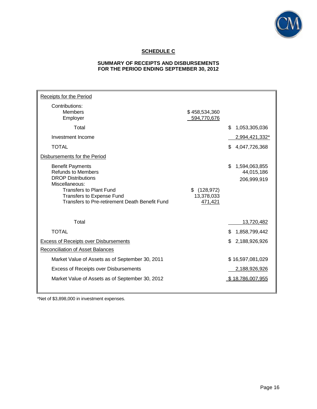

# **SCHEDULE C**

# **SUMMARY OF RECEIPTS AND DISBURSEMENTS FOR THE PERIOD ENDING SEPTEMBER 30, 2012**

| Receipts for the Period                                                                                                                                                                                                     |                                           |     |                                            |
|-----------------------------------------------------------------------------------------------------------------------------------------------------------------------------------------------------------------------------|-------------------------------------------|-----|--------------------------------------------|
| Contributions:<br><b>Members</b><br>Employer                                                                                                                                                                                | \$458,534,360<br>594,770,676              |     |                                            |
| Total                                                                                                                                                                                                                       |                                           | \$  | 1,053,305,036                              |
| Investment Income                                                                                                                                                                                                           |                                           |     | 2,994,421,332*                             |
| <b>TOTAL</b>                                                                                                                                                                                                                |                                           | S.  | 4,047,726,368                              |
| Disbursements for the Period                                                                                                                                                                                                |                                           |     |                                            |
| <b>Benefit Payments</b><br><b>Refunds to Members</b><br><b>DROP Distributions</b><br>Miscellaneous:<br><b>Transfers to Plant Fund</b><br><b>Transfers to Expense Fund</b><br>Transfers to Pre-retirement Death Benefit Fund | (128, 972)<br>\$<br>13,378,033<br>471,421 | \$  | 1,594,063,855<br>44,015,186<br>206,999,919 |
|                                                                                                                                                                                                                             |                                           |     |                                            |
| Total                                                                                                                                                                                                                       |                                           |     | 13,720,482                                 |
| <b>TOTAL</b>                                                                                                                                                                                                                |                                           | \$  | 1,858,799,442                              |
| <b>Excess of Receipts over Disbursements</b>                                                                                                                                                                                |                                           | \$. | 2,188,926,926                              |
| Reconciliation of Asset Balances                                                                                                                                                                                            |                                           |     |                                            |
| Market Value of Assets as of September 30, 2011                                                                                                                                                                             |                                           |     | \$16,597,081,029                           |
| <b>Excess of Receipts over Disbursements</b>                                                                                                                                                                                |                                           |     | 2,188,926,926                              |
| Market Value of Assets as of September 30, 2012                                                                                                                                                                             |                                           |     | \$18,786,007,955                           |

\*Net of \$3,898,000 in investment expenses.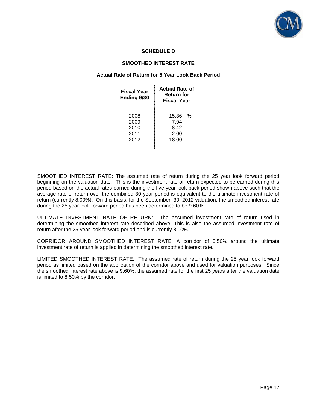

# **SCHEDULE D**

# **SMOOTHED INTEREST RATE**

#### **Actual Rate of Return for 5 Year Look Back Period**

| <b>Fiscal Year</b><br>Ending 9/30    | <b>Actual Rate of</b><br>Return for<br><b>Fiscal Year</b> |
|--------------------------------------|-----------------------------------------------------------|
| 2008<br>2009<br>2010<br>2011<br>2012 | -15.36<br>%<br>$-7.94$<br>8.42<br>2.00<br>18.00           |

SMOOTHED INTEREST RATE: The assumed rate of return during the 25 year look forward period beginning on the valuation date. This is the investment rate of return expected to be earned during this period based on the actual rates earned during the five year look back period shown above such that the average rate of return over the combined 30 year period is equivalent to the ultimate investment rate of return (currently 8.00%). On this basis, for the September 30, 2012 valuation, the smoothed interest rate during the 25 year look forward period has been determined to be 9.60%.

ULTIMATE INVESTMENT RATE OF RETURN: The assumed investment rate of return used in determining the smoothed interest rate described above. This is also the assumed investment rate of return after the 25 year look forward period and is currently 8.00%.

CORRIDOR AROUND SMOOTHED INTEREST RATE: A corridor of 0.50% around the ultimate investment rate of return is applied in determining the smoothed interest rate.

LIMITED SMOOTHED INTEREST RATE: The assumed rate of return during the 25 year look forward period as limited based on the application of the corridor above and used for valuation purposes. Since the smoothed interest rate above is 9.60%, the assumed rate for the first 25 years after the valuation date is limited to 8.50% by the corridor.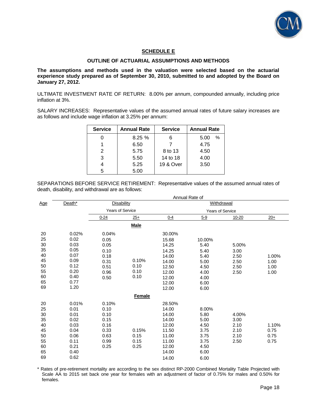

# **SCHEDULE E**

### **OUTLINE OF ACTUARIAL ASSUMPTIONS AND METHODS**

**The assumptions and methods used in the valuation were selected based on the actuarial experience study prepared as of September 30, 2010, submitted to and adopted by the Board on January 27, 2012.** 

ULTIMATE INVESTMENT RATE OF RETURN: 8.00% per annum, compounded annually, including price inflation at 3%.

SALARY INCREASES: Representative values of the assumed annual rates of future salary increases are as follows and include wage inflation at 3.25% per annum:

| <b>Service</b> | <b>Annual Rate</b> | <b>Service</b><br><b>Annual Rate</b> |              |
|----------------|--------------------|--------------------------------------|--------------|
|                | 8.25%              | 6                                    | $\%$<br>5.00 |
|                | 6.50               |                                      | 4.75         |
| 2              | 5.75               | 8 to 13                              | 4.50         |
| 3              | 5.50               | 14 to 18                             | 4.00         |
|                | 5.25               | 19 & Over                            | 3.50         |
| 5              | 5.00               |                                      |              |

SEPARATIONS BEFORE SERVICE RETIREMENT: Representative values of the assumed annual rates of death, disability, and withdrawal are as follows:

|                                                                |                                                                                       | Annual Rate of                                                        |                               |                                                                                                  |                                                                                |                                               |                               |  |
|----------------------------------------------------------------|---------------------------------------------------------------------------------------|-----------------------------------------------------------------------|-------------------------------|--------------------------------------------------------------------------------------------------|--------------------------------------------------------------------------------|-----------------------------------------------|-------------------------------|--|
| <u>Age</u>                                                     | Death*                                                                                | <b>Disability</b>                                                     |                               | <b>Withdrawal</b>                                                                                |                                                                                |                                               |                               |  |
|                                                                |                                                                                       | <b>Years of Service</b>                                               |                               |                                                                                                  |                                                                                |                                               |                               |  |
|                                                                |                                                                                       | $0 - 24$                                                              | $25+$                         | $0 - 4$                                                                                          | $5 - 9$                                                                        | $10 - 20$                                     | $20+$                         |  |
|                                                                |                                                                                       |                                                                       | <b>Male</b>                   |                                                                                                  |                                                                                |                                               |                               |  |
| 20<br>25<br>30<br>35<br>40<br>45<br>50<br>55<br>60<br>65<br>69 | 0.02%<br>0.02<br>0.03<br>0.05<br>0.07<br>0.09<br>0.12<br>0.20<br>0.40<br>0.77<br>1.20 | 0.04%<br>0.05<br>0.05<br>0.10<br>0.18<br>0.31<br>0.51<br>0.96<br>0.50 | 0.10%<br>0.10<br>0.10<br>0.10 | 30.00%<br>15.68<br>14.25<br>14.25<br>14.00<br>14.00<br>12.50<br>12.00<br>12.00<br>12.00<br>12.00 | 10.00%<br>5.40<br>5.40<br>5.40<br>5.00<br>4.50<br>4.00<br>4.00<br>6.00<br>6.00 | 5.00%<br>3.00<br>2.50<br>2.50<br>2.50<br>2.50 | 1.00%<br>1.00<br>1.00<br>1.00 |  |
|                                                                |                                                                                       |                                                                       | <b>Female</b>                 |                                                                                                  |                                                                                |                                               |                               |  |
| 20<br>25<br>30<br>35<br>40<br>45<br>50<br>55<br>60<br>65<br>69 | 0.01%<br>0.01<br>0.01<br>0.02<br>0.03<br>0.04<br>0.06<br>0.11<br>0.21<br>0.40<br>0.62 | 0.10%<br>0.10<br>0.10<br>0.15<br>0.16<br>0.33<br>0.63<br>0.99<br>0.25 | 0.15%<br>0.15<br>0.15<br>0.25 | 28.50%<br>14.00<br>14.00<br>14.00<br>12.00<br>11.50<br>11.00<br>11.00<br>12.00<br>14.00<br>14.00 | 8.00%<br>5.80<br>5.00<br>4.50<br>3.75<br>3.75<br>3.75<br>4.50<br>6.00<br>6.00  | 4.00%<br>3.00<br>2.10<br>2.10<br>2.10<br>2.50 | 1.10%<br>0.75<br>0.75<br>0.75 |  |

\* Rates of pre-retirement mortality are according to the sex distinct RP-2000 Combined Mortality Table Projected with Scale AA to 2015 set back one year for females with an adjustment of factor of 0.75% for males and 0.50% for females.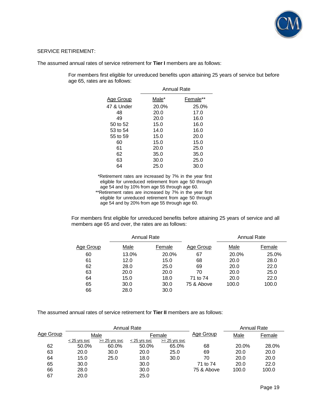

# SERVICE RETIREMENT:

The assumed annual rates of service retirement for **Tier I** members are as follows:

For members first eligible for unreduced benefits upon attaining 25 years of service but before age 65, rates are as follows:

|            | Annual Rate |          |  |  |  |  |
|------------|-------------|----------|--|--|--|--|
| Age Group  | Male*       | Female** |  |  |  |  |
| 47 & Under | 20.0%       | 25.0%    |  |  |  |  |
| 48         | 20.0        | 17.0     |  |  |  |  |
| 49         | 20.0        | 16.0     |  |  |  |  |
| 50 to 52   | 15.0        | 16.0     |  |  |  |  |
| 53 to 54   | 14.0        | 16.0     |  |  |  |  |
| 55 to 59   | 15.0        | 20.0     |  |  |  |  |
| 60         | 15.0        | 15.0     |  |  |  |  |
| 61         | 20.0        | 25.0     |  |  |  |  |
| 62         | 35.0        | 35.0     |  |  |  |  |
| 63         | 30.0        | 25.0     |  |  |  |  |
| 64         | 25.0        | 30.0     |  |  |  |  |

\*Retirement rates are increased by 7% in the year first eligible for unreduced retirement from age 50 through age 54 and by 10% from age 55 through age 60. \*\*Retirement rates are increased by 7% in the year first eligible for unreduced retirement from age 50 through age 54 and by 20% from age 55 through age 60.

For members first eligible for unreduced benefits before attaining 25 years of service and all members age 65 and over, the rates are as follows:

|           | <b>Annual Rate</b> |        |            | Annual Rate |        |  |
|-----------|--------------------|--------|------------|-------------|--------|--|
| Age Group | Male               | Female | Age Group  | Male        | Female |  |
| 60        | 13.0%              | 20.0%  | 67         | 20.0%       | 25.0%  |  |
| 61        | 12.0               | 15.0   | 68         | 20.0        | 28.0   |  |
| 62        | 28.0               | 25.0   | 69         | 20.0        | 22.0   |  |
| 63        | 20.0               | 20.0   | 70         | 20.0        | 25.0   |  |
| 64        | 15.0               | 18.0   | 71 to 74   | 20.0        | 22.0   |  |
| 65        | 30.0               | 30.0   | 75 & Above | 100.0       | 100.0  |  |
| 66        | 28.0               | 30.0   |            |             |        |  |

The assumed annual rates of service retirement for **Tier II** members are as follows:

|           | <b>Annual Rate</b> |                 |                |                 |            | <b>Annual Rate</b> |        |
|-----------|--------------------|-----------------|----------------|-----------------|------------|--------------------|--------|
| Age Group | Male               |                 | Female         |                 | Age Group  | Male               | Female |
|           | $<$ 25 yrs svc     | $>= 25$ yrs svc | $<$ 25 yrs svc | $>= 25$ yrs svc |            |                    |        |
| 62        | 50.0%              | 60.0%           | 50.0%          | 65.0%           | 68         | 20.0%              | 28.0%  |
| 63        | 20.0               | 30.0            | 20.0           | 25.0            | 69         | 20.0               | 20.0   |
| 64        | 15.0               | 25.0            | 18.0           | 30.0            | 70         | 20.0               | 20.0   |
| 65        | 30.0               |                 | 30.0           |                 | 71 to 74   | 20.0               | 22.0   |
| 66        | 28.0               |                 | 30.0           |                 | 75 & Above | 100.0              | 100.0  |
| 67        | 20.0               |                 | 25.0           |                 |            |                    |        |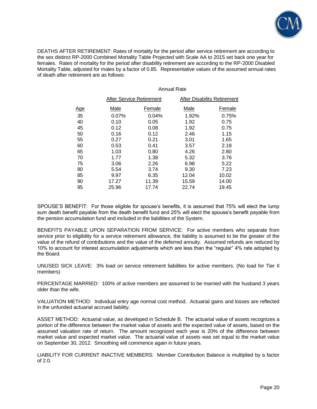

DEATHS AFTER RETIREMENT: Rates of mortality for the period after service retirement are according to the sex distinct RP-2000 Combined Mortality Table Projected with Scale AA to 2015 set back one year for females. Rates of mortality for the period after disability retirement are according to the RP-2000 Disabled Mortality Table, adjusted for males by a factor of 0.85. Representative values of the assumed annual rates of death after retirement are as follows:

#### Annual Rate

|            | After Service Retirement |        | After Disability Retirement |        |  |
|------------|--------------------------|--------|-----------------------------|--------|--|
| <u>Age</u> | Male                     | Female | Male                        | Female |  |
| 35         | 0.07%                    | 0.04%  | 1.92%                       | 0.75%  |  |
| 40         | 0.10                     | 0.05   | 1.92                        | 0.75   |  |
| 45         | 0.12                     | 0.08   | 1.92                        | 0.75   |  |
| 50         | 0.16                     | 0.12   | 2.46                        | 1.15   |  |
| 55         | 0.27                     | 0.21   | 3.01                        | 1.65   |  |
| 60         | 0.53                     | 0.41   | 3.57                        | 2.18   |  |
| 65         | 1.03                     | 0.80   | 4.26                        | 2.80   |  |
| 70         | 1.77                     | 1.38   | 5.32                        | 3.76   |  |
| 75         | 3.06                     | 2.26   | 6.98                        | 5.22   |  |
| 80         | 5.54                     | 3.74   | 9.30                        | 7.23   |  |
| 85         | 9.97                     | 6.35   | 12.04                       | 10.02  |  |
| 90         | 17.27                    | 11.39  | 15.59                       | 14.00  |  |
| 95         | 25.96                    | 17.74  | 22.74                       | 19.45  |  |

SPOUSE'S BENEFIT: For those eligible for spouse's benefits, it is assumed that 75% will elect the lump sum death benefit payable from the death benefit fund and 25% will elect the spouse's benefit payable from the pension accumulation fund and included in the liabilities of the System.

BENEFITS PAYABLE UPON SEPARATION FROM SERVICE: For active members who separate from service prior to eligibility for a service retirement allowance, the liability is assumed to be the greater of the value of the refund of contributions and the value of the deferred annuity. Assumed refunds are reduced by 10% to account for interest accumulation adjustments which are less than the "regular" 4% rate adopted by the Board.

UNUSED SICK LEAVE: 3% load on service retirement liabilities for active members. (No load for Tier II members)

PERCENTAGE MARRIED: 100% of active members are assumed to be married with the husband 3 years older than the wife.

VALUATION METHOD: Individual entry age normal cost method. Actuarial gains and losses are reflected in the unfunded actuarial accrued liability.

ASSET METHOD: Actuarial value, as developed in Schedule B. The actuarial value of assets recognizes a portion of the difference between the market value of assets and the expected value of assets, based on the assumed valuation rate of return. The amount recognized each year is 20% of the difference between market value and expected market value. The actuarial value of assets was set equal to the market value on September 30, 2012. Smoothing will commence again in future years.

LIABILITY FOR CURRENT INACTIVE MEMBERS: Member Contribution Balance is multiplied by a factor of 2.0.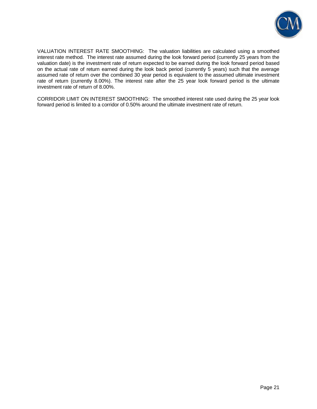

VALUATION INTEREST RATE SMOOTHING: The valuation liabilities are calculated using a smoothed interest rate method. The interest rate assumed during the look forward period (currently 25 years from the valuation date) is the investment rate of return expected to be earned during the look forward period based on the actual rate of return earned during the look back period (currently 5 years) such that the average assumed rate of return over the combined 30 year period is equivalent to the assumed ultimate investment rate of return (currently 8.00%). The interest rate after the 25 year look forward period is the ultimate investment rate of return of 8.00%.

CORRIDOR LIMIT ON INTEREST SMOOTHING: The smoothed interest rate used during the 25 year look forward period is limited to a corridor of 0.50% around the ultimate investment rate of return.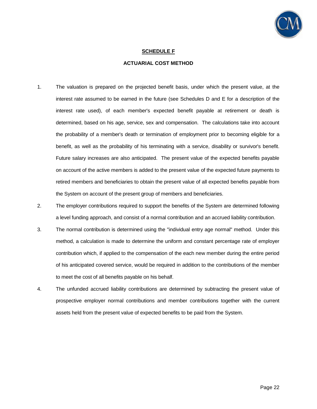

# **SCHEDULE F**

# **ACTUARIAL COST METHOD**

- 1. The valuation is prepared on the projected benefit basis, under which the present value, at the interest rate assumed to be earned in the future (see Schedules D and E for a description of the interest rate used), of each member's expected benefit payable at retirement or death is determined, based on his age, service, sex and compensation. The calculations take into account the probability of a member's death or termination of employment prior to becoming eligible for a benefit, as well as the probability of his terminating with a service, disability or survivor's benefit. Future salary increases are also anticipated. The present value of the expected benefits payable on account of the active members is added to the present value of the expected future payments to retired members and beneficiaries to obtain the present value of all expected benefits payable from the System on account of the present group of members and beneficiaries.
- 2. The employer contributions required to support the benefits of the System are determined following a level funding approach, and consist of a normal contribution and an accrued liability contribution.
- 3. The normal contribution is determined using the "individual entry age normal" method. Under this method, a calculation is made to determine the uniform and constant percentage rate of employer contribution which, if applied to the compensation of the each new member during the entire period of his anticipated covered service, would be required in addition to the contributions of the member to meet the cost of all benefits payable on his behalf.
- 4. The unfunded accrued liability contributions are determined by subtracting the present value of prospective employer normal contributions and member contributions together with the current assets held from the present value of expected benefits to be paid from the System.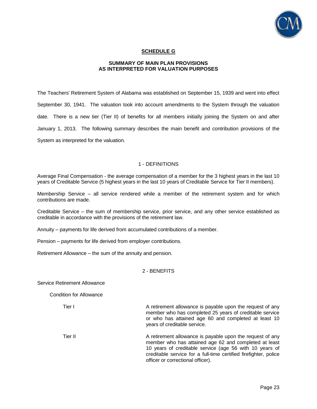

# **SCHEDULE G**

# **SUMMARY OF MAIN PLAN PROVISIONS AS INTERPRETED FOR VALUATION PURPOSES**

The Teachers' Retirement System of Alabama was established on September 15, 1939 and went into effect September 30, 1941. The valuation took into account amendments to the System through the valuation date. There is a new tier (Tier II) of benefits for all members initially joining the System on and after January 1, 2013. The following summary describes the main benefit and contribution provisions of the System as interpreted for the valuation.

#### 1 - DEFINITIONS

Average Final Compensation - the average compensation of a member for the 3 highest years in the last 10 years of Creditable Service (5 highest years in the last 10 years of Creditable Service for Tier II members).

Membership Service – all service rendered while a member of the retirement system and for which contributions are made.

Creditable Service – the sum of membership service, prior service, and any other service established as creditable in accordance with the provisions of the retirement law.

Annuity – payments for life derived from accumulated contributions of a member.

Pension – payments for life derived from employer contributions.

Retirement Allowance – the sum of the annuity and pension.

#### 2 - BENEFITS

Service Retirement Allowance

Condition for Allowance

Tier I **A** retirement allowance is payable upon the request of any member who has completed 25 years of creditable service or who has attained age 60 and completed at least 10 years of creditable service.

Tier II **A** retirement allowance is payable upon the request of any member who has attained age 62 and completed at least 10 years of creditable service (age 56 with 10 years of creditable service for a full-time certified firefighter, police officer or correctional officer).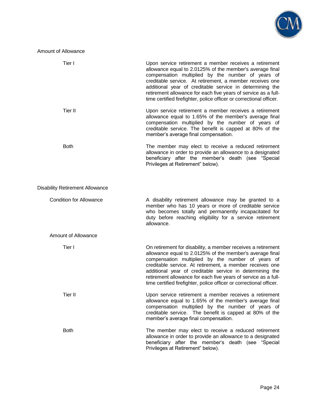

# Amount of Allowance

| Tier I                                 | Upon service retirement a member receives a retirement<br>allowance equal to 2.0125% of the member's average final<br>compensation multiplied by the number of years of<br>creditable service. At retirement, a member receives one<br>additional year of creditable service in determining the<br>retirement allowance for each five years of service as a full-<br>time certified firefighter, police officer or correctional officer.       |
|----------------------------------------|------------------------------------------------------------------------------------------------------------------------------------------------------------------------------------------------------------------------------------------------------------------------------------------------------------------------------------------------------------------------------------------------------------------------------------------------|
| <b>Tier II</b>                         | Upon service retirement a member receives a retirement<br>allowance equal to 1.65% of the member's average final<br>compensation multiplied by the number of years of<br>creditable service. The benefit is capped at 80% of the<br>member's average final compensation.                                                                                                                                                                       |
| <b>Both</b>                            | The member may elect to receive a reduced retirement<br>allowance in order to provide an allowance to a designated<br>beneficiary after the member's death (see "Special<br>Privileges at Retirement" below).                                                                                                                                                                                                                                  |
| <b>Disability Retirement Allowance</b> |                                                                                                                                                                                                                                                                                                                                                                                                                                                |
| <b>Condition for Allowance</b>         | A disability retirement allowance may be granted to a<br>member who has 10 years or more of creditable service<br>who becomes totally and permanently incapacitated for<br>duty before reaching eligibility for a service retirement<br>allowance.                                                                                                                                                                                             |
| Amount of Allowance                    |                                                                                                                                                                                                                                                                                                                                                                                                                                                |
| Tier I                                 | On retirement for disability, a member receives a retirement<br>allowance equal to 2.0125% of the member's average final<br>compensation multiplied by the number of years of<br>creditable service. At retirement, a member receives one<br>additional year of creditable service in determining the<br>retirement allowance for each five years of service as a full-<br>time certified firefighter, police officer or correctional officer. |
| Tier II                                | Upon service retirement a member receives a retirement<br>allowance equal to 1.65% of the member's average final<br>compensation multiplied by the number of years of<br>creditable service. The benefit is capped at 80% of the<br>member's average final compensation.                                                                                                                                                                       |
| <b>Both</b>                            | The member may elect to receive a reduced retirement<br>allowance in order to provide an allowance to a designated<br>beneficiary after the member's death (see "Special<br>Privileges at Retirement" below).                                                                                                                                                                                                                                  |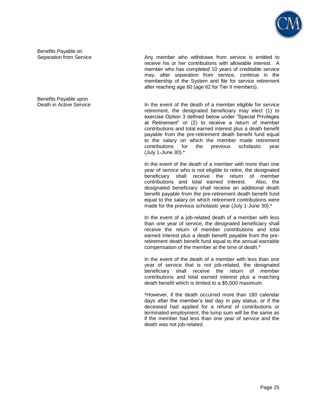

Benefits Payable on

Benefits Payable upon

Separation from Service **Any member** who withdraws from service is entitled to receive his or her contributions with allowable interest. A member who has completed 10 years of creditable service may, after separation from service, continue in the membership of the System and file for service retirement after reaching age 60 (age 62 for Tier II members).

Death in Active Service **In the event of the death of a member eligible for service** retirement, the designated beneficiary may elect (1) to exercise Option 3 defined below under "Special Privileges at Retirement" or (2) to receive a return of member contributions and total earned interest plus a death benefit payable from the pre-retirement death benefit fund equal to the salary on which the member made retirement contributions for the previous scholastic year (July 1-June 30).\*

> In the event of the death of a member with more than one year of service who is not eligible to retire, the designated beneficiary shall receive the return of member contributions and total earned interest. Also, the designated beneficiary shall receive an additional death benefit payable from the pre-retirement death benefit fund equal to the salary on which retirement contributions were made for the previous scholastic year (July 1-June 30).\*

> In the event of a job-related death of a member with less than one year of service, the designated beneficiary shall receive the return of member contributions and total earned interest plus a death benefit payable from the preretirement death benefit fund equal to the annual earnable compensation of the member at the time of death.\*

> In the event of the death of a member with less than one year of service that is not job-related, the designated beneficiary shall receive the return of member contributions and total earned interest plus a matching death benefit which is limited to a \$5,000 maximum.

> \*However, if the death occurred more than 180 calendar days after the member's last day in pay status, or if the deceased had applied for a refund of contributions or terminated employment, the lump sum will be the same as if the member had less than one year of service and the death was not job-related.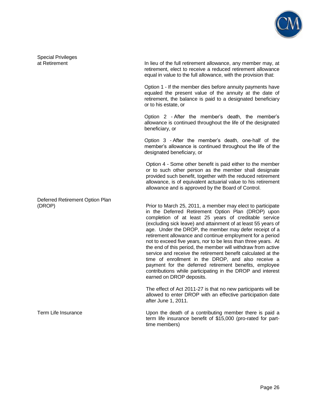

Special Privileges<br>at Retirement

In lieu of the full retirement allowance, any member may, at retirement, elect to receive a reduced retirement allowance equal in value to the full allowance, with the provision that:

 Option 1 - If the member dies before annuity payments have equaled the present value of the annuity at the date of retirement, the balance is paid to a designated beneficiary or to his estate, or

 Option 2 - After the member's death, the member's allowance is continued throughout the life of the designated beneficiary, or

 Option 3 - After the member's death, one-half of the member's allowance is continued throughout the life of the designated beneficiary, or

 Option 4 - Some other benefit is paid either to the member or to such other person as the member shall designate provided such benefit, together with the reduced retirement allowance, is of equivalent actuarial value to his retirement allowance and is approved by the Board of Control.

(DROP) Prior to March 25, 2011, a member may elect to participate in the Deferred Retirement Option Plan (DROP) upon completion of at least 25 years of creditable service (excluding sick leave) and attainment of at least 55 years of age. Under the DROP, the member may defer receipt of a retirement allowance and continue employment for a period not to exceed five years, nor to be less than three years. At the end of this period, the member will withdraw from active service and receive the retirement benefit calculated at the time of enrollment in the DROP, and also receive a payment for the deferred retirement benefits, employee contributions while participating in the DROP and interest earned on DROP deposits.

> The effect of Act 2011-27 is that no new participants will be allowed to enter DROP with an effective participation date after June 1, 2011.

Term Life Insurance Upon the death of a contributing member there is paid a term life insurance benefit of \$15,000 (pro-rated for parttime members)

Deferred Retirement Option Plan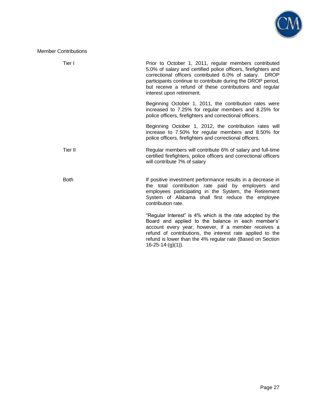

Member Contributions

| Tier I      | Prior to October 1, 2011, regular members contributed<br>5.0% of salary and certified police officers, firefighters and<br>correctional officers contributed 6.0% of salary.<br><b>DROP</b><br>participants continue to contribute during the DROP period,<br>but receive a refund of these contributions and regular<br>interest upon retirement. |
|-------------|----------------------------------------------------------------------------------------------------------------------------------------------------------------------------------------------------------------------------------------------------------------------------------------------------------------------------------------------------|
|             | Beginning October 1, 2011, the contribution rates were<br>increased to 7.25% for regular members and 8.25% for<br>police officers, firefighters and correctional officers.                                                                                                                                                                         |
|             | Beginning October 1, 2012, the contribution rates will<br>increase to 7.50% for regular members and 8.50% for<br>police officers, firefighters and correctional officers.                                                                                                                                                                          |
| Tier II     | Regular members will contribute 6% of salary and full-time<br>certified firefighters, police officers and correctional officers<br>will contribute 7% of salary                                                                                                                                                                                    |
| <b>Both</b> | If positive investment performance results in a decrease in<br>the total contribution rate paid by employers and<br>employees participating in the System, the Retirement<br>System of Alabama shall first reduce the employee<br>contribution rate.                                                                                               |
|             | "Regular Interest" is 4% which is the rate adopted by the<br>Board and applied to the balance in each member's'<br>account every year; however, if a member receives a<br>refund of contributions, the interest rate applied to the<br>refund is lower than the 4% regular rate (Based on Section<br>$16-25-14-(g)(1)$ ).                          |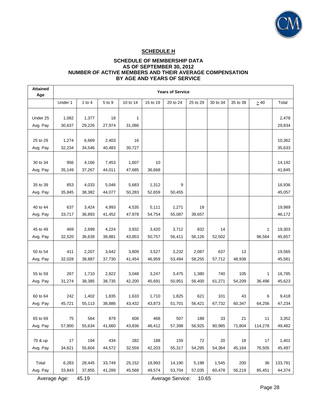

# **SCHEDULE H**

### **SCHEDULE OF MEMBERSHIP DATA AS OF SEPTEMBER 30, 2012 NUMBER OF ACTIVE MEMBERS AND THEIR AVERAGE COMPENSATION BY AGE AND YEARS OF SERVICE**

| <b>Attained</b><br>Age | <b>Years of Service</b> |                  |                  |                  |                  |                  |                 |                 |               |           |                   |
|------------------------|-------------------------|------------------|------------------|------------------|------------------|------------------|-----------------|-----------------|---------------|-----------|-------------------|
|                        | Under 1                 | $1$ to $4$       | 5 to 9           | 10 to 14         | 15 to 19         | 20 to 24         | 25 to 29        | 30 to 34        | 35 to 39      | $\geq 40$ | Total             |
|                        |                         |                  |                  |                  |                  |                  |                 |                 |               |           |                   |
| Under 25               | 1,082                   | 1,377            | 18               | 1                |                  |                  |                 |                 |               |           | 2,478             |
| Avg. Pay               | 30,637                  | 29,226           | 27,974           | 31,086           |                  |                  |                 |                 |               |           | 29,834            |
| 25 to 29               | 1,274                   | 6,669            | 2,403            | 16               |                  |                  |                 |                 |               |           | 10.362            |
| Avg. Pay               | 32,234                  | 34,546           | 40,483           | 30,727           |                  |                  |                 |                 |               |           | 35,633            |
|                        |                         |                  |                  |                  |                  |                  |                 |                 |               |           |                   |
| 30 to 34               | 956                     | 4,166            | 7,453            | 1,607            | 10               |                  |                 |                 |               |           | 14,192            |
| Avg. Pay               | 35,149                  | 37,267           | 44,011           | 47,685           | 36,668           |                  |                 |                 |               |           | 41,845            |
|                        |                         |                  |                  |                  |                  |                  |                 |                 |               |           |                   |
| 35 to 39               | 853                     | 4,033            | 5,046            | 5,683            | 1,312            | 9                |                 |                 |               |           | 16,936            |
| Avg. Pay               | 35,845                  | 38,382           | 44,077           | 50,283           | 52,659           | 50,455           |                 |                 |               |           | 45,057            |
| 40 to 44               | 637                     | 3,424            | 4,993            | 4,535            | 5,111            | 1,271            | 18              |                 |               |           | 19,989            |
| Avg. Pay               | 33,717                  | 36,893           | 41,452           | 47,978           | 54,754           | 55,087           | 39,657          |                 |               |           | 46,172            |
|                        |                         |                  |                  |                  |                  |                  |                 |                 |               |           |                   |
| 45 to 49               | 469                     | 2,699            | 4,224            | 3,932            | 3,420            | 3,712            | 832             | 14              |               | 1         | 19,303            |
| Avg. Pay               | 32,520                  | 36,639           | 38,881           | 43,853           | 50,757           | 56,411           | 56,126          | 52,502          |               | 96,564    | 45,657            |
|                        |                         |                  |                  |                  |                  |                  |                 |                 |               |           |                   |
| 50 to 54               | 411                     | 2,207            | 3,642            | 3,809            | 3,527            | 3,232            | 2,087           | 637             | 13            |           | 19,565            |
| Avg. Pay               | 32,028                  | 38,887           | 37,730           | 41,454           | 46,959           | 53,494           | 58,255          | 57,712          | 48,938        |           | 45,581            |
|                        |                         |                  |                  |                  |                  |                  |                 |                 |               |           |                   |
| 55 to 59               | 267                     | 1,710            | 2,822            | 3,048            | 3,247            | 3,475            | 1,380           | 740             | 105           | 1         | 16,795            |
| Avg. Pay               | 31,274                  | 38,385           | 38,735           | 42,200           | 45,691           | 50,951           | 56,400          | 61,271          | 54,209        | 36,496    | 45,623            |
| 60 to 64               | 242                     | 1,402            | 1,835            | 1,633            | 1,710            | 1,825            | 621             | 101             | 43            | 6         | 9,418             |
| Avg. Pay               | 45,721                  | 55,113           | 38,886           | 43,432           | 43,873           | 51,701           | 56,421          | 67,732          | 60,347        | 64,256    | 47,234            |
|                        |                         |                  |                  |                  |                  |                  |                 |                 |               |           |                   |
| 65 to 69               | 75                      | 564              | 879              | 606              | 468              | 507              | 188             | 33              | 21            | 11        | 3,352             |
| Avg. Pay               | 57,900                  | 55,634           | 41,660           | 43,836           | 46,412           | 57,398           | 56,925          | 80,985          | 71,804        | 114,278   | 49,482            |
|                        |                         |                  |                  |                  |                  |                  |                 |                 |               |           |                   |
| 70 & up                | 17                      | 194              | 434              | 282              | 188              | 159              | 72              | 20              | 18            | 17        | 1,401             |
| Avg. Pay               | 34,621                  | 55,604           | 44,572           | 32,559           | 42,203           | 55,317           | 54,295          | 54,364          | 45,164        | 76,505    | 45,497            |
|                        |                         |                  |                  |                  |                  |                  |                 |                 |               |           |                   |
| Total                  | 6,283<br>33,843         | 28,445<br>37,855 | 33,749<br>41,289 | 25,152<br>45,568 | 18,993<br>49,574 | 14,190<br>53,704 | 5,198<br>57,035 | 1,545<br>60,478 | 200<br>56,219 | 36        | 133,791<br>44,374 |
| Avg. Pay               |                         |                  |                  |                  |                  |                  |                 |                 |               | 85,451    |                   |

Average Age: 45.19 Average Service: 10.65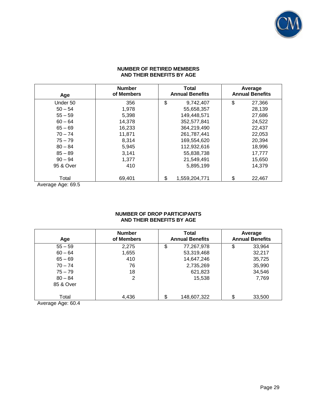

#### **NUMBER OF RETIRED MEMBERS AND THEIR BENEFITS BY AGE**

| Age       | <b>Number</b><br>of Members | <b>Total</b><br><b>Annual Benefits</b> | Average<br><b>Annual Benefits</b> |
|-----------|-----------------------------|----------------------------------------|-----------------------------------|
| Under 50  | 356                         | \$<br>9,742,407                        | \$<br>27,366                      |
| $50 - 54$ | 1,978                       | 55,658,357                             | 28,139                            |
| $55 - 59$ | 5,398                       | 149,448,571                            | 27,686                            |
| $60 - 64$ | 14,378                      | 352,577,841                            | 24,522                            |
| $65 - 69$ | 16,233                      | 364,219,490                            | 22,437                            |
| $70 - 74$ | 11,871                      | 261.787.441                            | 22,053                            |
| $75 - 79$ | 8,314                       | 169,554,620                            | 20,394                            |
| $80 - 84$ | 5,945                       | 112,932,616                            | 18,996                            |
| $85 - 89$ | 3,141                       | 55,838,738                             | 17,777                            |
| $90 - 94$ | 1,377                       | 21,549,491                             | 15,650                            |
| 95 & Over | 410                         | 5,895,199                              | 14,379                            |
| Total     | 69,401                      | \$<br>1,559,204,771                    | \$<br>22,467                      |

Average Age: 69.5

# **NUMBER OF DROP PARTICIPANTS AND THEIR BENEFITS BY AGE**

| Age        | <b>Number</b><br>of Members | Total<br><b>Annual Benefits</b> | Average<br><b>Annual Benefits</b> |  |  |
|------------|-----------------------------|---------------------------------|-----------------------------------|--|--|
| $55 - 59$  | 2,275                       | \$<br>77,267,978                | 33,964<br>\$                      |  |  |
| $60 - 64$  | 1,655                       | 53,319,468                      | 32,217                            |  |  |
| $65 - 69$  | 410                         | 14,647,246                      | 35,725                            |  |  |
| $70 - 74$  | 76                          | 2,735,269                       | 35,990                            |  |  |
| $75 - 79$  | 18                          | 621,823                         | 34,546                            |  |  |
| $80 - 84$  | 2                           | 15,538                          | 7,769                             |  |  |
| 85 & Over  |                             |                                 |                                   |  |  |
| Total<br>. | 4,436                       | \$<br>148,607,322               | 33,500                            |  |  |

Average Age: 60.4